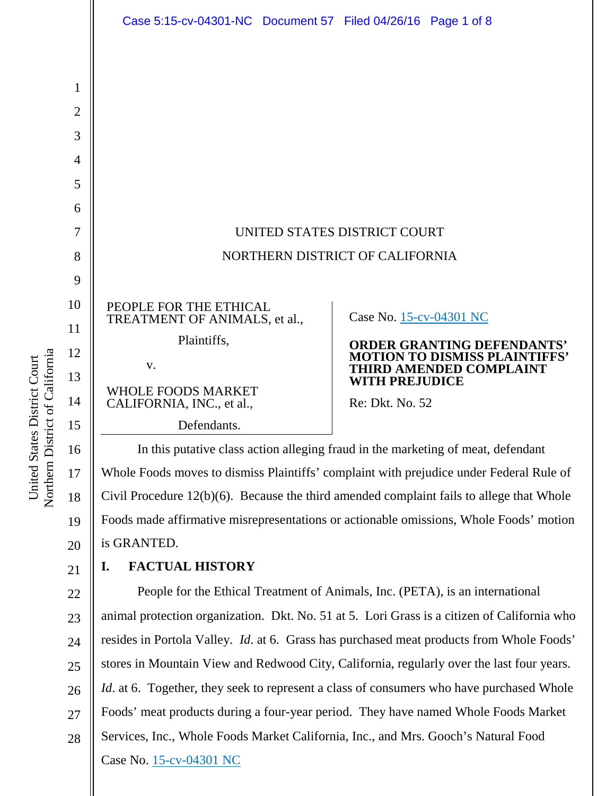

Northern District of California Northern District of California United States District Court United States District Court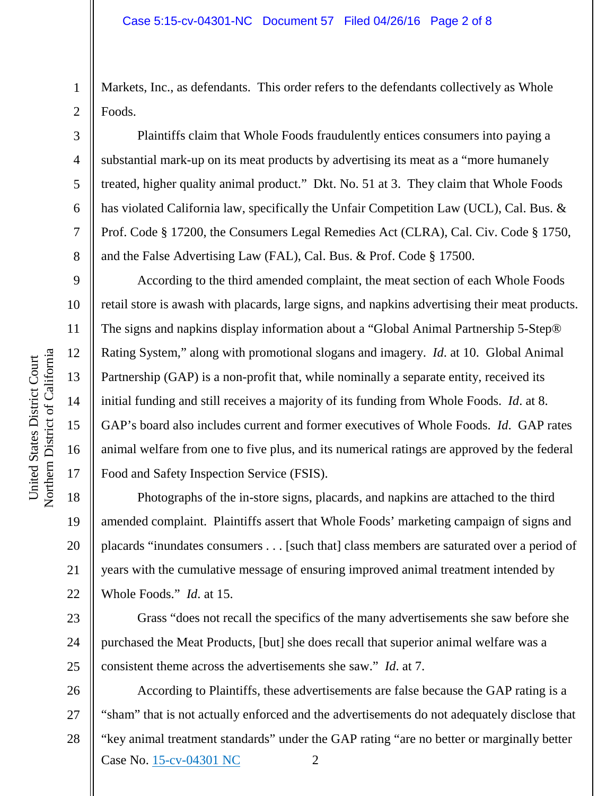Markets, Inc., as defendants. This order refers to the defendants collectively as Whole Foods.

Plaintiffs claim that Whole Foods fraudulently entices consumers into paying a substantial mark-up on its meat products by advertising its meat as a "more humanely treated, higher quality animal product." Dkt. No. 51 at 3. They claim that Whole Foods has violated California law, specifically the Unfair Competition Law (UCL), Cal. Bus. & Prof. Code § 17200, the Consumers Legal Remedies Act (CLRA), Cal. Civ. Code § 1750, and the False Advertising Law (FAL), Cal. Bus. & Prof. Code § 17500.

According to the third amended complaint, the meat section of each Whole Foods retail store is awash with placards, large signs, and napkins advertising their meat products. The signs and napkins display information about a "Global Animal Partnership 5-Step® Rating System," along with promotional slogans and imagery. *Id*. at 10. Global Animal Partnership (GAP) is a non-profit that, while nominally a separate entity, received its initial funding and still receives a majority of its funding from Whole Foods. *Id*. at 8. GAP's board also includes current and former executives of Whole Foods. *Id*. GAP rates animal welfare from one to five plus, and its numerical ratings are approved by the federal Food and Safety Inspection Service (FSIS).

Photographs of the in-store signs, placards, and napkins are attached to the third amended complaint. Plaintiffs assert that Whole Foods' marketing campaign of signs and placards "inundates consumers . . . [such that] class members are saturated over a period of years with the cumulative message of ensuring improved animal treatment intended by Whole Foods." *Id*. at 15.

Grass "does not recall the specifics of the many advertisements she saw before she purchased the Meat Products, [but] she does recall that superior animal welfare was a consistent theme across the advertisements she saw." *Id*. at 7.

Case No. [15-cv-04301 NC](https://ecf.cand.uscourts.gov/cgi-bin/DktRpt.pl?291292) 2 26 27 28 According to Plaintiffs, these advertisements are false because the GAP rating is a "sham" that is not actually enforced and the advertisements do not adequately disclose that "key animal treatment standards" under the GAP rating "are no better or marginally better

1

2

3

4

5

6

7

8

9

10

11

12

13

14

15

16

17

18

19

20

21

22

23

24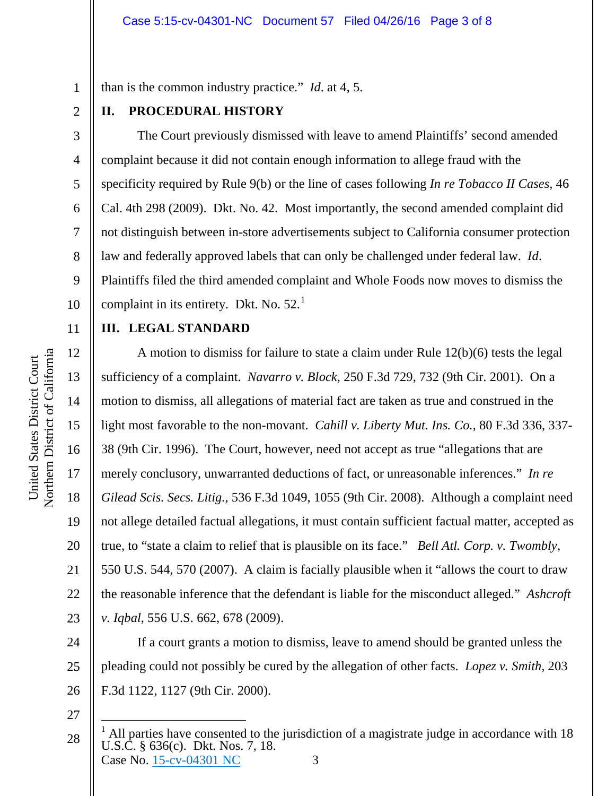than is the common industry practice." *Id*. at 4, 5.

## **II. PROCEDURAL HISTORY**

The Court previously dismissed with leave to amend Plaintiffs' second amended complaint because it did not contain enough information to allege fraud with the specificity required by Rule 9(b) or the line of cases following *In re Tobacco II Cases*, 46 Cal. 4th 298 (2009). Dkt. No. 42. Most importantly, the second amended complaint did not distinguish between in-store advertisements subject to California consumer protection law and federally approved labels that can only be challenged under federal law. *Id*. Plaintiffs filed the third amended complaint and Whole Foods now moves to dismiss the complaint in its entirety. Dkt. No.  $52<sup>1</sup>$  $52<sup>1</sup>$  $52<sup>1</sup>$ 

# **III. LEGAL STANDARD**

A motion to dismiss for failure to state a claim under Rule 12(b)(6) tests the legal sufficiency of a complaint. *Navarro v. Block*, 250 F.3d 729, 732 (9th Cir. 2001). On a motion to dismiss, all allegations of material fact are taken as true and construed in the light most favorable to the non-movant. *Cahill v. Liberty Mut. Ins. Co.*, 80 F.3d 336, 337- 38 (9th Cir. 1996). The Court, however, need not accept as true "allegations that are merely conclusory, unwarranted deductions of fact, or unreasonable inferences." *In re Gilead Scis. Secs. Litig.*, 536 F.3d 1049, 1055 (9th Cir. 2008). Although a complaint need not allege detailed factual allegations, it must contain sufficient factual matter, accepted as true, to "state a claim to relief that is plausible on its face." *Bell Atl. Corp. v. Twombly*, 550 U.S. 544, 570 (2007). A claim is facially plausible when it "allows the court to draw the reasonable inference that the defendant is liable for the misconduct alleged." *Ashcroft v. Iqbal*, 556 U.S. 662, 678 (2009).

If a court grants a motion to dismiss, leave to amend should be granted unless the pleading could not possibly be cured by the allegation of other facts. *Lopez v. Smith*, 203 F.3d 1122, 1127 (9th Cir. 2000).

27

1

2

3

4

5

6

7

8

9

10

11

12

13

14

15

16

17

18

19

20

21

22

23

24

25

<span id="page-2-0"></span>Case No. [15-cv-04301 NC](https://ecf.cand.uscourts.gov/cgi-bin/DktRpt.pl?291292) 3 28 <sup>1</sup> All parties have consented to the jurisdiction of a magistrate judge in accordance with 18 U.S.C. § 636(c). Dkt. Nos. 7, 18.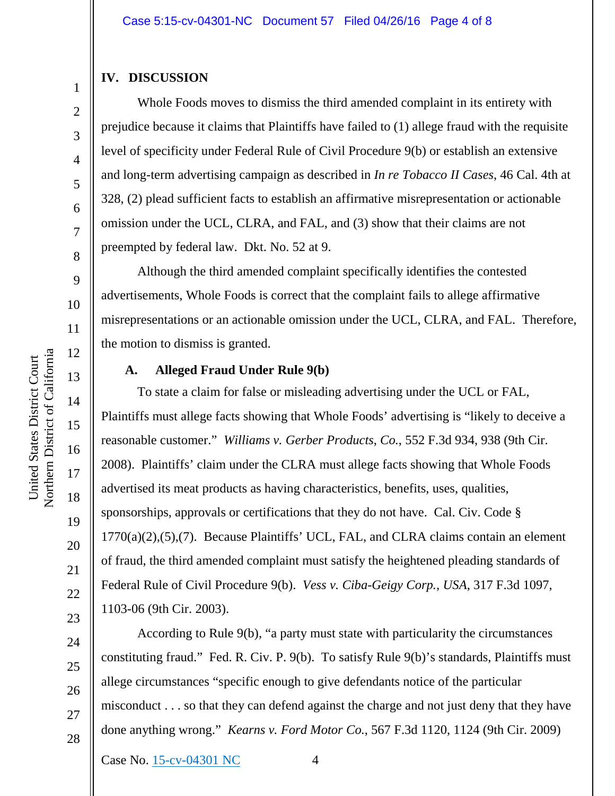#### **IV. DISCUSSION**

Whole Foods moves to dismiss the third amended complaint in its entirety with prejudice because it claims that Plaintiffs have failed to (1) allege fraud with the requisite level of specificity under Federal Rule of Civil Procedure 9(b) or establish an extensive and long-term advertising campaign as described in *In re Tobacco II Cases*, 46 Cal. 4th at 328, (2) plead sufficient facts to establish an affirmative misrepresentation or actionable omission under the UCL, CLRA, and FAL, and (3) show that their claims are not preempted by federal law. Dkt. No. 52 at 9.

Although the third amended complaint specifically identifies the contested advertisements, Whole Foods is correct that the complaint fails to allege affirmative misrepresentations or an actionable omission under the UCL, CLRA, and FAL. Therefore, the motion to dismiss is granted.

### **A. Alleged Fraud Under Rule 9(b)**

To state a claim for false or misleading advertising under the UCL or FAL, Plaintiffs must allege facts showing that Whole Foods' advertising is "likely to deceive a reasonable customer." *Williams v. Gerber Products, Co.*, 552 F.3d 934, 938 (9th Cir. 2008). Plaintiffs' claim under the CLRA must allege facts showing that Whole Foods advertised its meat products as having characteristics, benefits, uses, qualities, sponsorships, approvals or certifications that they do not have. Cal. Civ. Code § 1770(a)(2),(5),(7). Because Plaintiffs' UCL, FAL, and CLRA claims contain an element of fraud, the third amended complaint must satisfy the heightened pleading standards of Federal Rule of Civil Procedure 9(b). *Vess v. Ciba-Geigy Corp., USA*, 317 F.3d 1097, 1103-06 (9th Cir. 2003).

According to Rule 9(b), "a party must state with particularity the circumstances constituting fraud." Fed. R. Civ. P. 9(b). To satisfy Rule 9(b)'s standards, Plaintiffs must allege circumstances "specific enough to give defendants notice of the particular misconduct . . . so that they can defend against the charge and not just deny that they have done anything wrong." *Kearns v. Ford Motor Co.*, 567 F.3d 1120, 1124 (9th Cir. 2009)

United States District Court

United States District Court

1

2

3

4

5

6

7

8

9

28

21

22

23

24

25

26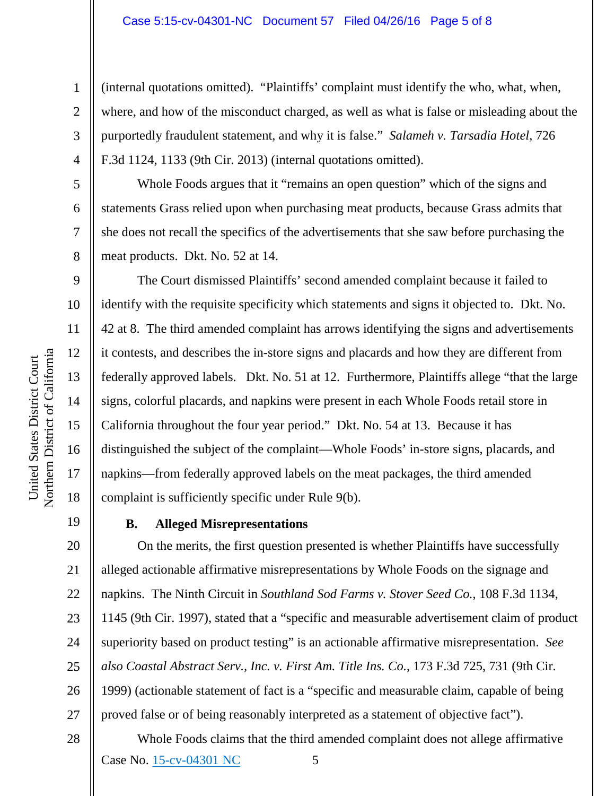#### Case 5:15-cv-04301-NC Document 57 Filed 04/26/16 Page 5 of 8

(internal quotations omitted). "Plaintiffs' complaint must identify the who, what, when, where, and how of the misconduct charged, as well as what is false or misleading about the purportedly fraudulent statement, and why it is false." *Salameh v. Tarsadia Hotel*, 726 F.3d 1124, 1133 (9th Cir. 2013) (internal quotations omitted).

Whole Foods argues that it "remains an open question" which of the signs and statements Grass relied upon when purchasing meat products, because Grass admits that she does not recall the specifics of the advertisements that she saw before purchasing the meat products. Dkt. No. 52 at 14.

The Court dismissed Plaintiffs' second amended complaint because it failed to identify with the requisite specificity which statements and signs it objected to. Dkt. No. 42 at 8. The third amended complaint has arrows identifying the signs and advertisements it contests, and describes the in-store signs and placards and how they are different from federally approved labels. Dkt. No. 51 at 12. Furthermore, Plaintiffs allege "that the large signs, colorful placards, and napkins were present in each Whole Foods retail store in California throughout the four year period." Dkt. No. 54 at 13. Because it has distinguished the subject of the complaint—Whole Foods' in-store signs, placards, and napkins—from federally approved labels on the meat packages, the third amended complaint is sufficiently specific under Rule 9(b).

19

1

2

3

4

5

6

7

8

9

10

11

12

13

14

15

16

17

18

20

21

### **B. Alleged Misrepresentations**

On the merits, the first question presented is whether Plaintiffs have successfully alleged actionable affirmative misrepresentations by Whole Foods on the signage and napkins. The Ninth Circuit in *Southland Sod Farms v. Stover Seed Co.*, 108 F.3d 1134, 1145 (9th Cir. 1997), stated that a "specific and measurable advertisement claim of product superiority based on product testing" is an actionable affirmative misrepresentation. *See also Coastal Abstract Serv., Inc. v. First Am. Title Ins. Co.*, 173 F.3d 725, 731 (9th Cir. 1999) (actionable statement of fact is a "specific and measurable claim, capable of being proved false or of being reasonably interpreted as a statement of objective fact").

Case No. [15-cv-04301 NC](https://ecf.cand.uscourts.gov/cgi-bin/DktRpt.pl?291292) 5 Whole Foods claims that the third amended complaint does not allege affirmative

Northern District of California Northern District of California United States District Court United States District Court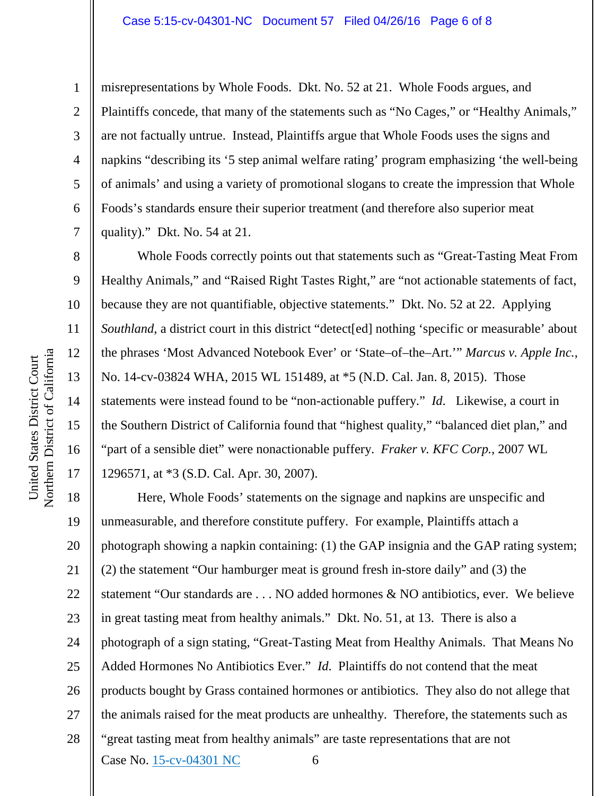#### Case 5:15-cv-04301-NC Document 57 Filed 04/26/16 Page 6 of 8

misrepresentations by Whole Foods. Dkt. No. 52 at 21. Whole Foods argues, and Plaintiffs concede, that many of the statements such as "No Cages," or "Healthy Animals," are not factually untrue. Instead, Plaintiffs argue that Whole Foods uses the signs and napkins "describing its '5 step animal welfare rating' program emphasizing 'the well-being of animals' and using a variety of promotional slogans to create the impression that Whole Foods's standards ensure their superior treatment (and therefore also superior meat quality)." Dkt. No. 54 at 21.

Whole Foods correctly points out that statements such as "Great-Tasting Meat From Healthy Animals," and "Raised Right Tastes Right," are "not actionable statements of fact, because they are not quantifiable, objective statements." Dkt. No. 52 at 22. Applying *Southland*, a district court in this district "detect[ed] nothing 'specific or measurable' about the phrases 'Most Advanced Notebook Ever' or 'State–of–the–Art.'" *Marcus v. Apple Inc.*, No. 14-cv-03824 WHA, 2015 WL 151489, at \*5 (N.D. Cal. Jan. 8, 2015). Those statements were instead found to be "non-actionable puffery." *Id*. Likewise, a court in the Southern District of California found that "highest quality," "balanced diet plan," and "part of a sensible diet" were nonactionable puffery. *Fraker v. KFC Corp.*, 2007 WL 1296571, at \*3 (S.D. Cal. Apr. 30, 2007).

Case No. [15-cv-04301 NC](https://ecf.cand.uscourts.gov/cgi-bin/DktRpt.pl?291292) 6 18 19 20 21 22 23 24 25 26 27 28 Here, Whole Foods' statements on the signage and napkins are unspecific and unmeasurable, and therefore constitute puffery. For example, Plaintiffs attach a photograph showing a napkin containing: (1) the GAP insignia and the GAP rating system; (2) the statement "Our hamburger meat is ground fresh in-store daily" and (3) the statement "Our standards are . . . NO added hormones & NO antibiotics, ever. We believe in great tasting meat from healthy animals." Dkt. No. 51, at 13. There is also a photograph of a sign stating, "Great-Tasting Meat from Healthy Animals. That Means No Added Hormones No Antibiotics Ever." *Id*. Plaintiffs do not contend that the meat products bought by Grass contained hormones or antibiotics. They also do not allege that the animals raised for the meat products are unhealthy. Therefore, the statements such as "great tasting meat from healthy animals" are taste representations that are not

1

2

3

4

5

6

7

8

9

10

11

12

13

14

15

16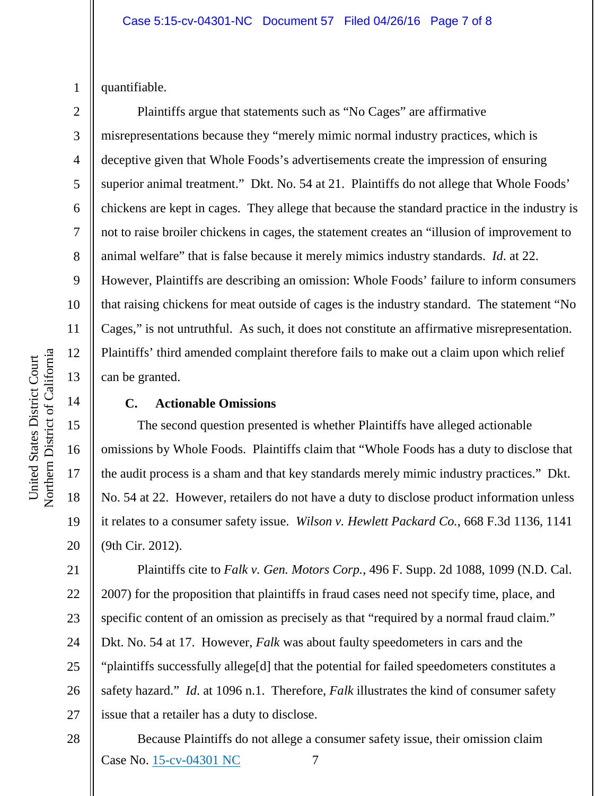1 quantifiable.

2

3

4

5

6

7

8

9

10

11

12

13

14

15

16

17

18

19

20

Plaintiffs argue that statements such as "No Cages" are affirmative misrepresentations because they "merely mimic normal industry practices, which is deceptive given that Whole Foods's advertisements create the impression of ensuring superior animal treatment." Dkt. No. 54 at 21. Plaintiffs do not allege that Whole Foods' chickens are kept in cages. They allege that because the standard practice in the industry is not to raise broiler chickens in cages, the statement creates an "illusion of improvement to animal welfare" that is false because it merely mimics industry standards. *Id*. at 22. However, Plaintiffs are describing an omission: Whole Foods' failure to inform consumers that raising chickens for meat outside of cages is the industry standard. The statement "No Cages," is not untruthful. As such, it does not constitute an affirmative misrepresentation. Plaintiffs' third amended complaint therefore fails to make out a claim upon which relief can be granted.

## **C. Actionable Omissions**

The second question presented is whether Plaintiffs have alleged actionable omissions by Whole Foods. Plaintiffs claim that "Whole Foods has a duty to disclose that the audit process is a sham and that key standards merely mimic industry practices." Dkt. No. 54 at 22. However, retailers do not have a duty to disclose product information unless it relates to a consumer safety issue. *Wilson v. Hewlett Packard Co.*, 668 F.3d 1136, 1141 (9th Cir. 2012).

21 26 27 Plaintiffs cite to *Falk v. Gen. Motors Corp.*, 496 F. Supp. 2d 1088, 1099 (N.D. Cal. 2007) for the proposition that plaintiffs in fraud cases need not specify time, place, and specific content of an omission as precisely as that "required by a normal fraud claim." Dkt. No. 54 at 17. However, *Falk* was about faulty speedometers in cars and the "plaintiffs successfully allege[d] that the potential for failed speedometers constitutes a safety hazard." *Id*. at 1096 n.1. Therefore, *Falk* illustrates the kind of consumer safety issue that a retailer has a duty to disclose.

Case No. [15-cv-04301 NC](https://ecf.cand.uscourts.gov/cgi-bin/DktRpt.pl?291292) 7 Because Plaintiffs do not allege a consumer safety issue, their omission claim